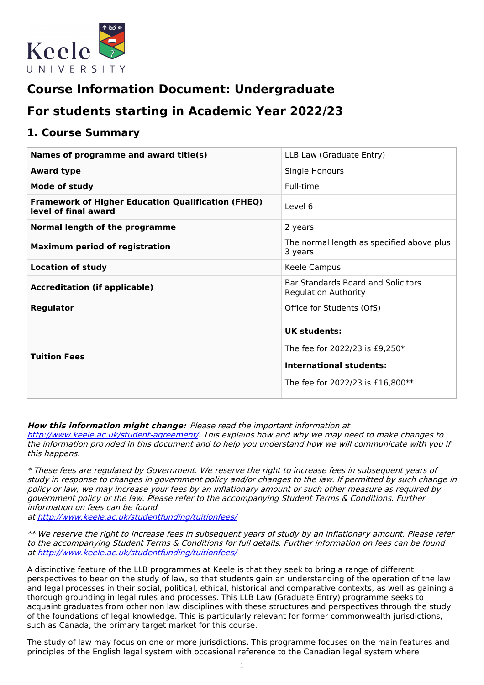

# **Course Information Document: Undergraduate**

# **For students starting in Academic Year 2022/23**

### **1. Course Summary**

| Names of programme and award title(s)                                             | LLB Law (Graduate Entry)                                                                                         |
|-----------------------------------------------------------------------------------|------------------------------------------------------------------------------------------------------------------|
| <b>Award type</b>                                                                 | Single Honours                                                                                                   |
| <b>Mode of study</b>                                                              | Full-time                                                                                                        |
| <b>Framework of Higher Education Qualification (FHEQ)</b><br>level of final award | Level 6                                                                                                          |
| Normal length of the programme                                                    | 2 years                                                                                                          |
| <b>Maximum period of registration</b>                                             | The normal length as specified above plus<br>3 years                                                             |
| <b>Location of study</b>                                                          | Keele Campus                                                                                                     |
| <b>Accreditation (if applicable)</b>                                              | Bar Standards Board and Solicitors<br><b>Regulation Authority</b>                                                |
| Regulator                                                                         | Office for Students (OfS)                                                                                        |
| <b>Tuition Fees</b>                                                               | UK students:<br>The fee for 2022/23 is £9,250 $*$<br>International students:<br>The fee for 2022/23 is £16,800** |

#### **How this information might change:** Please read the important information at

<http://www.keele.ac.uk/student-agreement/>. This explains how and why we may need to make changes to the information provided in this document and to help you understand how we will communicate with you if this happens.

\* These fees are regulated by Government. We reserve the right to increase fees in subsequent years of study in response to changes in government policy and/or changes to the law. If permitted by such change in policy or law, we may increase your fees by an inflationary amount or such other measure as required by government policy or the law. Please refer to the accompanying Student Terms & Conditions. Further information on fees can be found

at <http://www.keele.ac.uk/studentfunding/tuitionfees/>

\*\* We reserve the right to increase fees in subsequent years of study by an inflationary amount. Please refer to the accompanying Student Terms & Conditions for full details. Further information on fees can be found at <http://www.keele.ac.uk/studentfunding/tuitionfees/>

A distinctive feature of the LLB programmes at Keele is that they seek to bring a range of different perspectives to bear on the study of law, so that students gain an understanding of the operation of the law and legal processes in their social, political, ethical, historical and comparative contexts, as well as gaining a thorough grounding in legal rules and processes. This LLB Law (Graduate Entry) programme seeks to acquaint graduates from other non law disciplines with these structures and perspectives through the study of the foundations of legal knowledge. This is particularly relevant for former commonwealth jurisdictions, such as Canada, the primary target market for this course.

The study of law may focus on one or more jurisdictions. This programme focuses on the main features and principles of the English legal system with occasional reference to the Canadian legal system where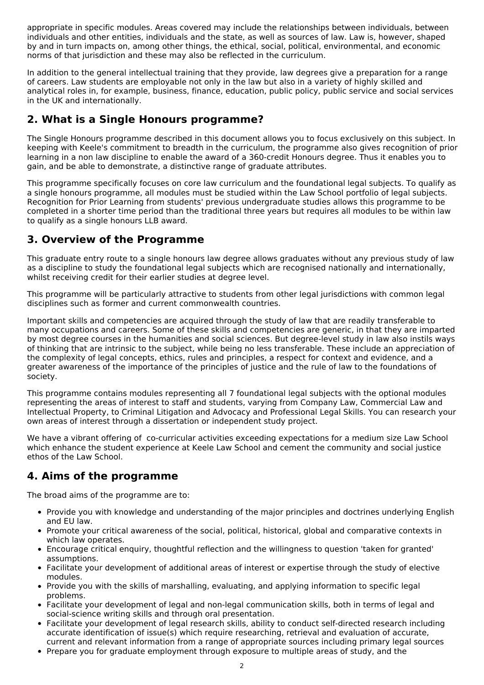appropriate in specific modules. Areas covered may include the relationships between individuals, between individuals and other entities, individuals and the state, as well as sources of law. Law is, however, shaped by and in turn impacts on, among other things, the ethical, social, political, environmental, and economic norms of that jurisdiction and these may also be reflected in the curriculum.

In addition to the general intellectual training that they provide, law degrees give a preparation for a range of careers. Law students are employable not only in the law but also in a variety of highly skilled and analytical roles in, for example, business, finance, education, public policy, public service and social services in the UK and internationally.

## **2. What is a Single Honours programme?**

The Single Honours programme described in this document allows you to focus exclusively on this subject. In keeping with Keele's commitment to breadth in the curriculum, the programme also gives recognition of prior learning in a non law discipline to enable the award of a 360-credit Honours degree. Thus it enables you to gain, and be able to demonstrate, a distinctive range of graduate attributes.

This programme specifically focuses on core law curriculum and the foundational legal subjects. To qualify as a single honours programme, all modules must be studied within the Law School portfolio of legal subjects. Recognition for Prior Learning from students' previous undergraduate studies allows this programme to be completed in a shorter time period than the traditional three years but requires all modules to be within law to qualify as a single honours LLB award.

## **3. Overview of the Programme**

This graduate entry route to a single honours law degree allows graduates without any previous study of law as a discipline to study the foundational legal subjects which are recognised nationally and internationally, whilst receiving credit for their earlier studies at degree level.

This programme will be particularly attractive to students from other legal jurisdictions with common legal disciplines such as former and current commonwealth countries.

Important skills and competencies are acquired through the study of law that are readily transferable to many occupations and careers. Some of these skills and competencies are generic, in that they are imparted by most degree courses in the humanities and social sciences. But degree-level study in law also instils ways of thinking that are intrinsic to the subject, while being no less transferable. These include an appreciation of the complexity of legal concepts, ethics, rules and principles, a respect for context and evidence, and a greater awareness of the importance of the principles of justice and the rule of law to the foundations of society.

This programme contains modules representing all 7 foundational legal subjects with the optional modules representing the areas of interest to staff and students, varying from Company Law, Commercial Law and Intellectual Property, to Criminal Litigation and Advocacy and Professional Legal Skills. You can research your own areas of interest through a dissertation or independent study project.

We have a vibrant offering of co-curricular activities exceeding expectations for a medium size Law School which enhance the student experience at Keele Law School and cement the community and social justice ethos of the Law School.

## **4. Aims of the programme**

The broad aims of the programme are to:

- Provide you with knowledge and understanding of the major principles and doctrines underlying English and EU law.
- Promote your critical awareness of the social, political, historical, global and comparative contexts in which law operates.
- Encourage critical enquiry, thoughtful reflection and the willingness to question 'taken for granted' assumptions.
- Facilitate your development of additional areas of interest or expertise through the study of elective modules.
- Provide you with the skills of marshalling, evaluating, and applying information to specific legal problems.
- Facilitate your development of legal and non-legal communication skills, both in terms of legal and social-science writing skills and through oral presentation.
- Facilitate your development of legal research skills, ability to conduct self-directed research including accurate identification of issue(s) which require researching, retrieval and evaluation of accurate, current and relevant information from a range of appropriate sources including primary legal sources
- Prepare you for graduate employment through exposure to multiple areas of study, and the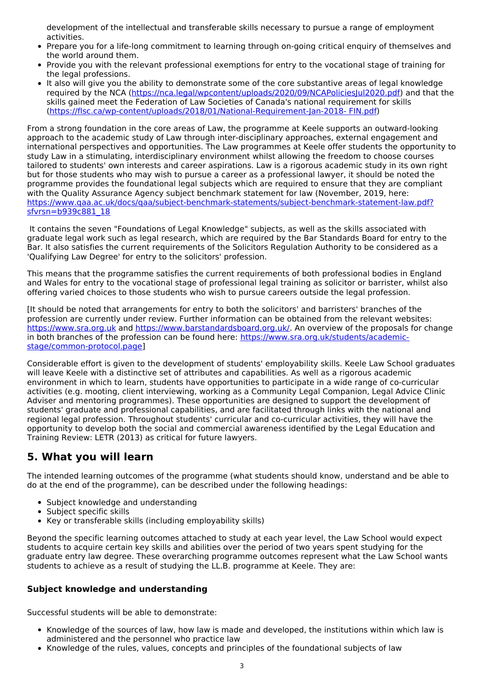development of the intellectual and transferable skills necessary to pursue a range of employment activities.

- Prepare you for a life-long commitment to learning through on-going critical enquiry of themselves and the world around them.
- Provide you with the relevant professional exemptions for entry to the vocational stage of training for the legal professions.
- It also will give you the ability to demonstrate some of the core substantive areas of legal knowledge required by the NCA [\(https://nca.legal/wpcontent/uploads/2020/09/NCAPoliciesJul2020.pdf](https://nca.legal/wpcontent/uploads/2020/09/NCAPoliciesJul2020.pdf)) and that the skills gained meet the Federation of Law Societies of Canada's national requirement for skills [\(https://flsc.ca/wp-content/uploads/2018/01/National-Requirement-Jan-2018-](https://flsc.ca/wp-content/uploads/2018/01/National-Requirement-Jan-2018-%20FIN.pdf) FIN.pdf)

From a strong foundation in the core areas of Law, the programme at Keele supports an outward-looking approach to the academic study of Law through inter-disciplinary approaches, external engagement and international perspectives and opportunities. The Law programmes at Keele offer students the opportunity to study Law in a stimulating, interdisciplinary environment whilst allowing the freedom to choose courses tailored to students' own interests and career aspirations. Law is a rigorous academic study in its own right but for those students who may wish to pursue a career as a professional lawyer, it should be noted the programme provides the foundational legal subjects which are required to ensure that they are compliant with the Quality Assurance Agency subject benchmark statement for law (November, 2019, here: [https://www.qaa.ac.uk/docs/qaa/subject-benchmark-statements/subject-benchmark-statement-law.pdf?](https://www.qaa.ac.uk/docs/qaa/subject-benchmark-statements/subject-benchmark-statement-law.pdf?sfvrsn=b939c881_18) sfvrsn=b939c881\_18

It contains the seven "Foundations of Legal Knowledge" subjects, as well as the skills associated with graduate legal work such as legal research, which are required by the Bar Standards Board for entry to the Bar. It also satisfies the current requirements of the Solicitors Regulation Authority to be considered as a 'Qualifying Law Degree' for entry to the solicitors' profession.

This means that the programme satisfies the current requirements of both professional bodies in England and Wales for entry to the vocational stage of professional legal training as solicitor or barrister, whilst also offering varied choices to those students who wish to pursue careers outside the legal profession.

[It should be noted that arrangements for entry to both the solicitors' and barristers' branches of the profession are currently under review. Further information can be obtained from the relevant websites: <https://www.sra.org.uk> and <https://www.barstandardsboard.org.uk/>. An overview of the proposals for change in both branches of the profession can be found here: [https://www.sra.org.uk/students/academic](https://www.sra.org.uk/students/academic-stage/common-protocol.page)stage/common-protocol.page]

Considerable effort is given to the development of students' employability skills. Keele Law School graduates will leave Keele with a distinctive set of attributes and capabilities. As well as a rigorous academic environment in which to learn, students have opportunities to participate in a wide range of co-curricular activities (e.g. mooting, client interviewing, working as a Community Legal Companion, Legal Advice Clinic Adviser and mentoring programmes). These opportunities are designed to support the development of students' graduate and professional capabilities, and are facilitated through links with the national and regional legal profession. Throughout students' curricular and co-curricular activities, they will have the opportunity to develop both the social and commercial awareness identified by the Legal Education and Training Review: LETR (2013) as critical for future lawyers.

## **5. What you will learn**

The intended learning outcomes of the programme (what students should know, understand and be able to do at the end of the programme), can be described under the following headings:

- Subject knowledge and understanding
- Subject specific skills
- Key or transferable skills (including employability skills)

Beyond the specific learning outcomes attached to study at each year level, the Law School would expect students to acquire certain key skills and abilities over the period of two years spent studying for the graduate entry law degree. These overarching programme outcomes represent what the Law School wants students to achieve as a result of studying the LL.B. programme at Keele. They are:

#### **Subject knowledge and understanding**

Successful students will be able to demonstrate:

- Knowledge of the sources of law, how law is made and developed, the institutions within which law is administered and the personnel who practice law
- Knowledge of the rules, values, concepts and principles of the foundational subjects of law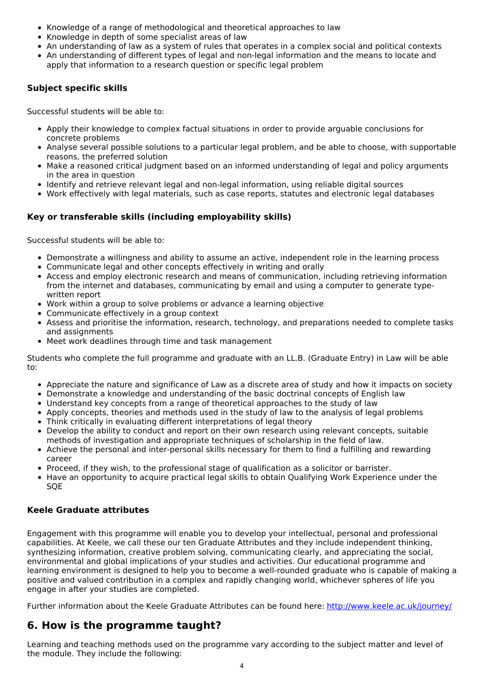- Knowledge of a range of methodological and theoretical approaches to law
- Knowledge in depth of some specialist areas of law
- An understanding of law as a system of rules that operates in a complex social and political contexts
- An understanding of different types of legal and non-legal information and the means to locate and apply that information to a research question or specific legal problem

#### **Subject specific skills**

Successful students will be able to:

- Apply their knowledge to complex factual situations in order to provide arguable conclusions for concrete problems
- Analyse several possible solutions to a particular legal problem, and be able to choose, with supportable reasons, the preferred solution
- Make a reasoned critical judgment based on an informed understanding of legal and policy arguments in the area in question
- Identify and retrieve relevant legal and non-legal information, using reliable digital sources
- Work effectively with legal materials, such as case reports, statutes and electronic legal databases

### **Key or transferable skills (including employability skills)**

Successful students will be able to:

- Demonstrate a willingness and ability to assume an active, independent role in the learning process
- Communicate legal and other concepts effectively in writing and orally
- Access and employ electronic research and means of communication, including retrieving information from the internet and databases, communicating by email and using a computer to generate typewritten report
- Work within a group to solve problems or advance a learning objective
- Communicate effectively in a group context
- Assess and prioritise the information, research, technology, and preparations needed to complete tasks and assignments
- Meet work deadlines through time and task management

Students who complete the full programme and graduate with an LL.B. (Graduate Entry) in Law will be able to:

- Appreciate the nature and significance of Law as a discrete area of study and how it impacts on society
- Demonstrate a knowledge and understanding of the basic doctrinal concepts of English law
- Understand key concepts from a range of theoretical approaches to the study of law
- Apply concepts, theories and methods used in the study of law to the analysis of legal problems
- Think critically in evaluating different interpretations of legal theory
- Develop the ability to conduct and report on their own research using relevant concepts, suitable methods of investigation and appropriate techniques of scholarship in the field of law.
- Achieve the personal and inter-personal skills necessary for them to find a fulfilling and rewarding career
- Proceed, if they wish, to the professional stage of qualification as a solicitor or barrister.
- Have an opportunity to acquire practical legal skills to obtain Qualifying Work Experience under the **SOE**

#### **Keele Graduate attributes**

Engagement with this programme will enable you to develop your intellectual, personal and professional capabilities. At Keele, we call these our ten Graduate Attributes and they include independent thinking, synthesizing information, creative problem solving, communicating clearly, and appreciating the social, environmental and global implications of your studies and activities. Our educational programme and learning environment is designed to help you to become a well-rounded graduate who is capable of making a positive and valued contribution in a complex and rapidly changing world, whichever spheres of life you engage in after your studies are completed.

Further information about the Keele Graduate Attributes can be found here: <http://www.keele.ac.uk/journey/>

### **6. How is the programme taught?**

Learning and teaching methods used on the programme vary according to the subject matter and level of the module. They include the following: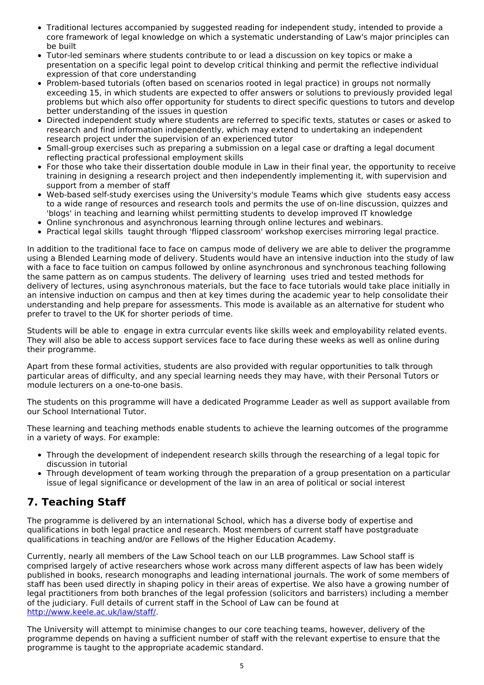- Traditional lectures accompanied by suggested reading for independent study, intended to provide a core framework of legal knowledge on which a systematic understanding of Law's major principles can be built
- Tutor-led seminars where students contribute to or lead a discussion on key topics or make a presentation on a specific legal point to develop critical thinking and permit the reflective individual expression of that core understanding
- Problem-based tutorials (often based on scenarios rooted in legal practice) in groups not normally exceeding 15, in which students are expected to offer answers or solutions to previously provided legal problems but which also offer opportunity for students to direct specific questions to tutors and develop better understanding of the issues in question
- Directed independent study where students are referred to specific texts, statutes or cases or asked to research and find information independently, which may extend to undertaking an independent research project under the supervision of an experienced tutor
- Small-group exercises such as preparing a submission on a legal case or drafting a legal document reflecting practical professional employment skills
- For those who take their dissertation double module in Law in their final year, the opportunity to receive training in designing a research project and then independently implementing it, with supervision and support from a member of staff
- Web-based self-study exercises using the University's module Teams which give students easy access to a wide range of resources and research tools and permits the use of on-line discussion, quizzes and 'blogs' in teaching and learning whilst permitting students to develop improved IT knowledge
- Online synchronous and asynchronous learning through online lectures and webinars.
- Practical legal skills taught through 'flipped classroom' workshop exercises mirroring legal practice.

In addition to the traditional face to face on campus mode of delivery we are able to deliver the programme using a Blended Learning mode of delivery. Students would have an intensive induction into the study of law with a face to face tuition on campus followed by online asynchronous and synchronous teaching following the same pattern as on campus students. The delivery of learning uses tried and tested methods for delivery of lectures, using asynchronous materials, but the face to face tutorials would take place initially in an intensive induction on campus and then at key times during the academic year to help consolidate their understanding and help prepare for assessments. This mode is available as an alternative for student who prefer to travel to the UK for shorter periods of time.

Students will be able to engage in extra currcular events like skills week and employability related events. They will also be able to access support services face to face during these weeks as well as online during their programme.

Apart from these formal activities, students are also provided with regular opportunities to talk through particular areas of difficulty, and any special learning needs they may have, with their Personal Tutors or module lecturers on a one-to-one basis.

The students on this programme will have a dedicated Programme Leader as well as support available from our School International Tutor.

These learning and teaching methods enable students to achieve the learning outcomes of the programme in a variety of ways. For example:

- Through the development of independent research skills through the researching of a legal topic for discussion in tutorial
- Through development of team working through the preparation of a group presentation on a particular issue of legal significance or development of the law in an area of political or social interest

## **7. Teaching Staff**

The programme is delivered by an international School, which has a diverse body of expertise and qualifications in both legal practice and research. Most members of current staff have postgraduate qualifications in teaching and/or are Fellows of the Higher Education Academy.

Currently, nearly all members of the Law School teach on our LLB programmes. Law School staff is comprised largely of active researchers whose work across many different aspects of law has been widely published in books, research monographs and leading international journals. The work of some members of staff has been used directly in shaping policy in their areas of expertise. We also have a growing number of legal practitioners from both branches of the legal profession (solicitors and barristers) including a member of the judiciary. Full details of current staff in the School of Law can be found at <http://www.keele.ac.uk/law/staff/>.

The University will attempt to minimise changes to our core teaching teams, however, delivery of the programme depends on having a sufficient number of staff with the relevant expertise to ensure that the programme is taught to the appropriate academic standard.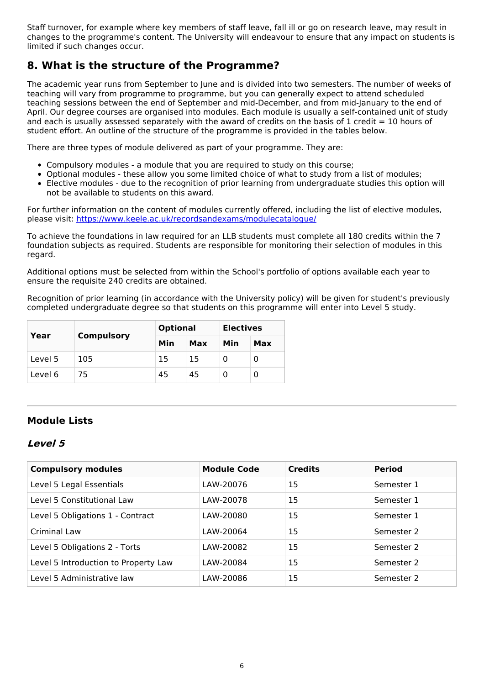Staff turnover, for example where key members of staff leave, fall ill or go on research leave, may result in changes to the programme's content. The University will endeavour to ensure that any impact on students is limited if such changes occur.

## **8. What is the structure of the Programme?**

The academic year runs from September to June and is divided into two semesters. The number of weeks of teaching will vary from programme to programme, but you can generally expect to attend scheduled teaching sessions between the end of September and mid-December, and from mid-January to the end of April. Our degree courses are organised into modules. Each module is usually a self-contained unit of study and each is usually assessed separately with the award of credits on the basis of 1 credit  $= 10$  hours of student effort. An outline of the structure of the programme is provided in the tables below.

There are three types of module delivered as part of your programme. They are:

- Compulsory modules a module that you are required to study on this course;
- Optional modules these allow you some limited choice of what to study from a list of modules;
- Elective modules due to the recognition of prior learning from undergraduate studies this option will not be available to students on this award.

For further information on the content of modules currently offered, including the list of elective modules, please visit: <https://www.keele.ac.uk/recordsandexams/modulecatalogue/>

To achieve the foundations in law required for an LLB students must complete all 180 credits within the 7 foundation subjects as required. Students are responsible for monitoring their selection of modules in this regard.

Additional options must be selected from within the School's portfolio of options available each year to ensure the requisite 240 credits are obtained.

Recognition of prior learning (in accordance with the University policy) will be given for student's previously completed undergraduate degree so that students on this programme will enter into Level 5 study.

| Year    |                   | <b>Optional</b> |     | <b>Electives</b> |   |
|---------|-------------------|-----------------|-----|------------------|---|
|         | <b>Compulsory</b> | Min             | Max | Min<br>Max       |   |
| Level 5 | 105               | 15              | 15  |                  | Ü |
| Level 6 | 75                | 45              | 45  |                  | U |

### **Module Lists**

### **Level 5**

| <b>Compulsory modules</b>            | <b>Module Code</b> | <b>Credits</b> | <b>Period</b> |
|--------------------------------------|--------------------|----------------|---------------|
| Level 5 Legal Essentials             | LAW-20076          | 15             | Semester 1    |
| Level 5 Constitutional Law           | LAW-20078          | 15             | Semester 1    |
| Level 5 Obligations 1 - Contract     | LAW-20080          | 15             | Semester 1    |
| Criminal Law                         | LAW-20064          | 15             | Semester 2    |
| Level 5 Obligations 2 - Torts        | LAW-20082          | 15             | Semester 2    |
| Level 5 Introduction to Property Law | LAW-20084          | 15             | Semester 2    |
| Level 5 Administrative law           | LAW-20086          | 15             | Semester 2    |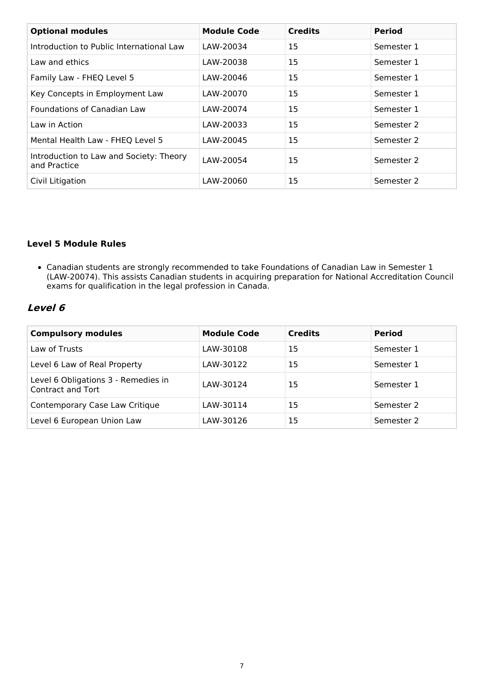| <b>Optional modules</b>                                 | <b>Module Code</b> | <b>Credits</b> | <b>Period</b> |
|---------------------------------------------------------|--------------------|----------------|---------------|
| Introduction to Public International Law                | LAW-20034          | 15             | Semester 1    |
| Law and ethics                                          | LAW-20038          | 15             | Semester 1    |
| Family Law - FHEQ Level 5                               | LAW-20046          | 15             | Semester 1    |
| Key Concepts in Employment Law                          | LAW-20070          | 15             | Semester 1    |
| <b>Foundations of Canadian Law</b>                      | LAW-20074          | 15             | Semester 1    |
| Law in Action                                           | LAW-20033          | 15             | Semester 2    |
| Mental Health Law - FHEQ Level 5                        | LAW-20045          | 15             | Semester 2    |
| Introduction to Law and Society: Theory<br>and Practice | LAW-20054          | 15             | Semester 2    |
| Civil Litigation                                        | LAW-20060          | 15             | Semester 2    |

#### **Level 5 Module Rules**

Canadian students are strongly recommended to take Foundations of Canadian Law in Semester 1 (LAW-20074). This assists Canadian students in acquiring preparation for National Accreditation Council exams for qualification in the legal profession in Canada.

### **Level 6**

| <b>Compulsory modules</b>                                | <b>Module Code</b> | <b>Credits</b> | <b>Period</b> |
|----------------------------------------------------------|--------------------|----------------|---------------|
| Law of Trusts                                            | LAW-30108          | 15             | Semester 1    |
| Level 6 Law of Real Property                             | LAW-30122          | 15             | Semester 1    |
| Level 6 Obligations 3 - Remedies in<br>Contract and Tort | LAW-30124          | 15             | Semester 1    |
| Contemporary Case Law Critique                           | LAW-30114          | 15             | Semester 2    |
| Level 6 European Union Law                               | LAW-30126          | 15             | Semester 2    |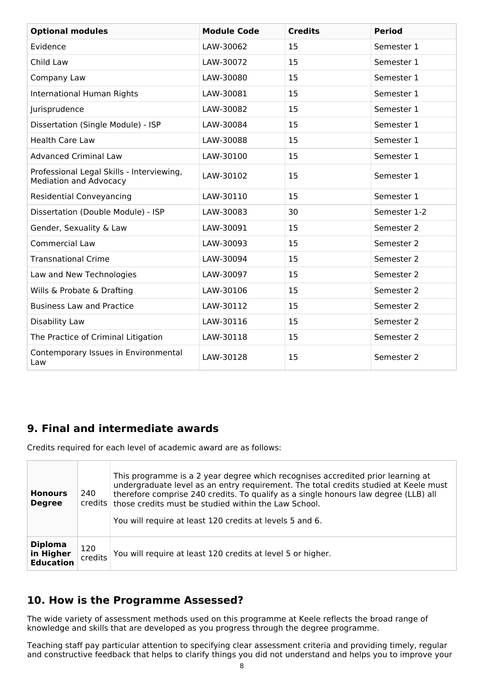| <b>Optional modules</b>                                                    | <b>Module Code</b> | <b>Credits</b> | <b>Period</b> |
|----------------------------------------------------------------------------|--------------------|----------------|---------------|
| Evidence                                                                   | LAW-30062          | 15             | Semester 1    |
| Child Law                                                                  | LAW-30072          | 15             | Semester 1    |
| Company Law                                                                | LAW-30080          | 15             | Semester 1    |
| <b>International Human Rights</b>                                          | LAW-30081          | 15             | Semester 1    |
| Jurisprudence                                                              | LAW-30082          | 15             | Semester 1    |
| Dissertation (Single Module) - ISP                                         | LAW-30084          | 15             | Semester 1    |
| <b>Health Care Law</b>                                                     | LAW-30088          | 15             | Semester 1    |
| <b>Advanced Criminal Law</b>                                               | LAW-30100          | 15             | Semester 1    |
| Professional Legal Skills - Interviewing,<br><b>Mediation and Advocacy</b> | LAW-30102          | 15             | Semester 1    |
| <b>Residential Conveyancing</b>                                            | LAW-30110          | 15             | Semester 1    |
| Dissertation (Double Module) - ISP                                         | LAW-30083          | 30             | Semester 1-2  |
| Gender, Sexuality & Law                                                    | LAW-30091          | 15             | Semester 2    |
| <b>Commercial Law</b>                                                      | LAW-30093          | 15             | Semester 2    |
| <b>Transnational Crime</b>                                                 | LAW-30094          | 15             | Semester 2    |
| Law and New Technologies                                                   | LAW-30097          | 15             | Semester 2    |
| Wills & Probate & Drafting                                                 | LAW-30106          | 15             | Semester 2    |
| <b>Business Law and Practice</b>                                           | LAW-30112          | 15             | Semester 2    |
| Disability Law                                                             | LAW-30116          | 15             | Semester 2    |
| The Practice of Criminal Litigation                                        | LAW-30118          | 15             | Semester 2    |
| Contemporary Issues in Environmental<br>Law                                | LAW-30128          | 15             | Semester 2    |

### **9. Final and intermediate awards**

Credits required for each level of academic award are as follows:

| <b>Honours</b><br><b>Degree</b>                 | 240<br>$c$ redits $\vert$ | This programme is a 2 year degree which recognises accredited prior learning at<br>undergraduate level as an entry requirement. The total credits studied at Keele must<br>therefore comprise 240 credits. To qualify as a single honours law degree (LLB) all<br>those credits must be studied within the Law School.<br>You will require at least 120 credits at levels 5 and 6. |
|-------------------------------------------------|---------------------------|------------------------------------------------------------------------------------------------------------------------------------------------------------------------------------------------------------------------------------------------------------------------------------------------------------------------------------------------------------------------------------|
| <b>Diploma</b><br>in Higher<br><b>Education</b> | 120<br>credits            | You will require at least 120 credits at level 5 or higher.                                                                                                                                                                                                                                                                                                                        |

### **10. How is the Programme Assessed?**

The wide variety of assessment methods used on this programme at Keele reflects the broad range of knowledge and skills that are developed as you progress through the degree programme.

Teaching staff pay particular attention to specifying clear assessment criteria and providing timely, regular and constructive feedback that helps to clarify things you did not understand and helps you to improve your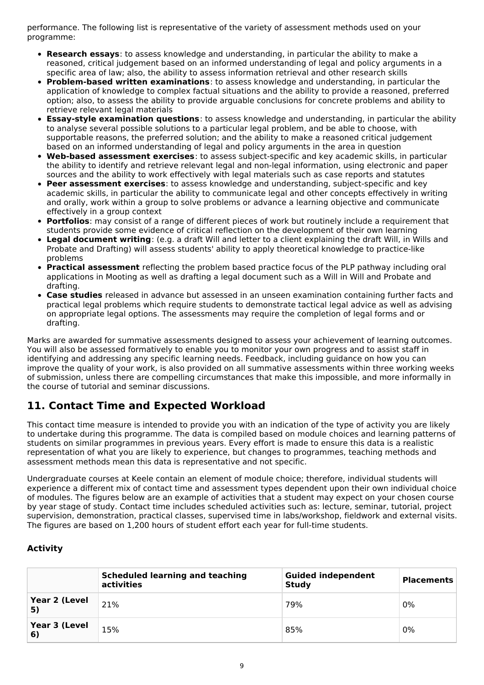performance. The following list is representative of the variety of assessment methods used on your programme:

- **Research essays**: to assess knowledge and understanding, in particular the ability to make a reasoned, critical judgement based on an informed understanding of legal and policy arguments in a specific area of law; also, the ability to assess information retrieval and other research skills
- **Problem-based written examinations**: to assess knowledge and understanding, in particular the application of knowledge to complex factual situations and the ability to provide a reasoned, preferred option; also, to assess the ability to provide arguable conclusions for concrete problems and ability to retrieve relevant legal materials
- **Essay-style examination questions**: to assess knowledge and understanding, in particular the ability to analyse several possible solutions to a particular legal problem, and be able to choose, with supportable reasons, the preferred solution; and the ability to make a reasoned critical judgement based on an informed understanding of legal and policy arguments in the area in question
- **Web-based assessment exercises**: to assess subject-specific and key academic skills, in particular the ability to identify and retrieve relevant legal and non-legal information, using electronic and paper sources and the ability to work effectively with legal materials such as case reports and statutes
- **Peer assessment exercises**: to assess knowledge and understanding, subject-specific and key academic skills, in particular the ability to communicate legal and other concepts effectively in writing and orally, work within a group to solve problems or advance a learning objective and communicate effectively in a group context
- **Portfolios**: may consist of a range of different pieces of work but routinely include a requirement that students provide some evidence of critical reflection on the development of their own learning
- **Legal document writing**: (e.g. a draft Will and letter to a client explaining the draft Will, in Wills and Probate and Drafting) will assess students' ability to apply theoretical knowledge to practice-like problems
- **Practical assessment** reflecting the problem based practice focus of the PLP pathway including oral applications in Mooting as well as drafting a legal document such as a Will in Will and Probate and drafting.
- **Case studies** released in advance but assessed in an unseen examination containing further facts and practical legal problems which require students to demonstrate tactical legal advice as well as advising on appropriate legal options. The assessments may require the completion of legal forms and or drafting.

Marks are awarded for summative assessments designed to assess your achievement of learning outcomes. You will also be assessed formatively to enable you to monitor your own progress and to assist staff in identifying and addressing any specific learning needs. Feedback, including guidance on how you can improve the quality of your work, is also provided on all summative assessments within three working weeks of submission, unless there are compelling circumstances that make this impossible, and more informally in the course of tutorial and seminar discussions.

## **11. Contact Time and Expected Workload**

This contact time measure is intended to provide you with an indication of the type of activity you are likely to undertake during this programme. The data is compiled based on module choices and learning patterns of students on similar programmes in previous years. Every effort is made to ensure this data is a realistic representation of what you are likely to experience, but changes to programmes, teaching methods and assessment methods mean this data is representative and not specific.

Undergraduate courses at Keele contain an element of module choice; therefore, individual students will experience a different mix of contact time and assessment types dependent upon their own individual choice of modules. The figures below are an example of activities that a student may expect on your chosen course by year stage of study. Contact time includes scheduled activities such as: lecture, seminar, tutorial, project supervision, demonstration, practical classes, supervised time in labs/workshop, fieldwork and external visits. The figures are based on 1,200 hours of student effort each year for full-time students.

### **Activity**

|                     | <b>Scheduled learning and teaching</b><br>activities | <b>Guided independent</b><br><b>Study</b> | <b>Placements</b> |
|---------------------|------------------------------------------------------|-------------------------------------------|-------------------|
| Year 2 (Level<br>5) | 21%                                                  | 79%                                       | 0%                |
| Year 3 (Level<br>6) | 15%                                                  | 85%                                       | 0%                |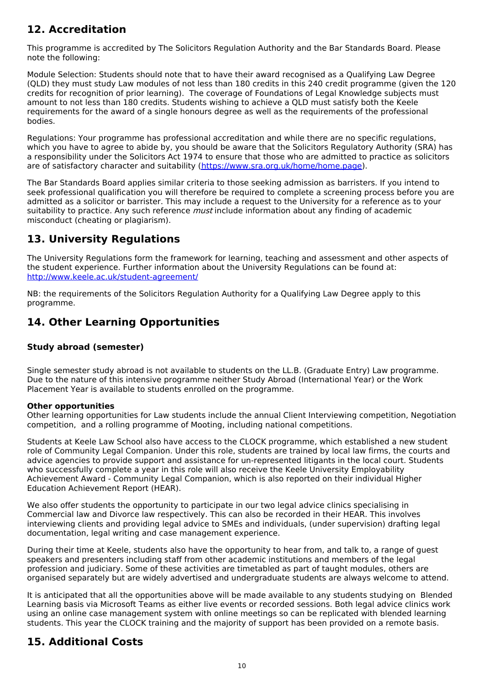## **12. Accreditation**

This programme is accredited by The Solicitors Regulation Authority and the Bar Standards Board. Please note the following:

Module Selection: Students should note that to have their award recognised as a Qualifying Law Degree (QLD) they must study Law modules of not less than 180 credits in this 240 credit programme (given the 120 credits for recognition of prior learning). The coverage of Foundations of Legal Knowledge subjects must amount to not less than 180 credits. Students wishing to achieve a QLD must satisfy both the Keele requirements for the award of a single honours degree as well as the requirements of the professional bodies.

Regulations: Your programme has professional accreditation and while there are no specific regulations, which you have to agree to abide by, you should be aware that the Solicitors Regulatory Authority (SRA) has a responsibility under the Solicitors Act 1974 to ensure that those who are admitted to practice as solicitors are of satisfactory character and suitability (<https://www.sra.org.uk/home/home.page>).

The Bar Standards Board applies similar criteria to those seeking admission as barristers. If you intend to seek professional qualification you will therefore be required to complete a screening process before you are admitted as a solicitor or barrister. This may include a request to the University for a reference as to your suitability to practice. Any such reference *must* include information about any finding of academic misconduct (cheating or plagiarism).

### **13. University Regulations**

The University Regulations form the framework for learning, teaching and assessment and other aspects of the student experience. Further information about the University Regulations can be found at: <http://www.keele.ac.uk/student-agreement/>

NB: the requirements of the Solicitors Regulation Authority for a Qualifying Law Degree apply to this programme.

## **14. Other Learning Opportunities**

### **Study abroad (semester)**

Single semester study abroad is not available to students on the LL.B. (Graduate Entry) Law programme. Due to the nature of this intensive programme neither Study Abroad (International Year) or the Work Placement Year is available to students enrolled on the programme.

#### **Other opportunities**

Other learning opportunities for Law students include the annual Client Interviewing competition, Negotiation competition, and a rolling programme of Mooting, including national competitions.

Students at Keele Law School also have access to the CLOCK programme, which established a new student role of Community Legal Companion. Under this role, students are trained by local law firms, the courts and advice agencies to provide support and assistance for un-represented litigants in the local court. Students who successfully complete a year in this role will also receive the Keele University Employability Achievement Award - Community Legal Companion, which is also reported on their individual Higher Education Achievement Report (HEAR).

We also offer students the opportunity to participate in our two legal advice clinics specialising in Commercial law and Divorce law respectively. This can also be recorded in their HEAR. This involves interviewing clients and providing legal advice to SMEs and individuals, (under supervision) drafting legal documentation, legal writing and case management experience.

During their time at Keele, students also have the opportunity to hear from, and talk to, a range of guest speakers and presenters including staff from other academic institutions and members of the legal profession and judiciary. Some of these activities are timetabled as part of taught modules, others are organised separately but are widely advertised and undergraduate students are always welcome to attend.

It is anticipated that all the opportunities above will be made available to any students studying on Blended Learning basis via Microsoft Teams as either live events or recorded sessions. Both legal advice clinics work using an online case management system with online meetings so can be replicated with blended learning students. This year the CLOCK training and the majority of support has been provided on a remote basis.

## **15. Additional Costs**